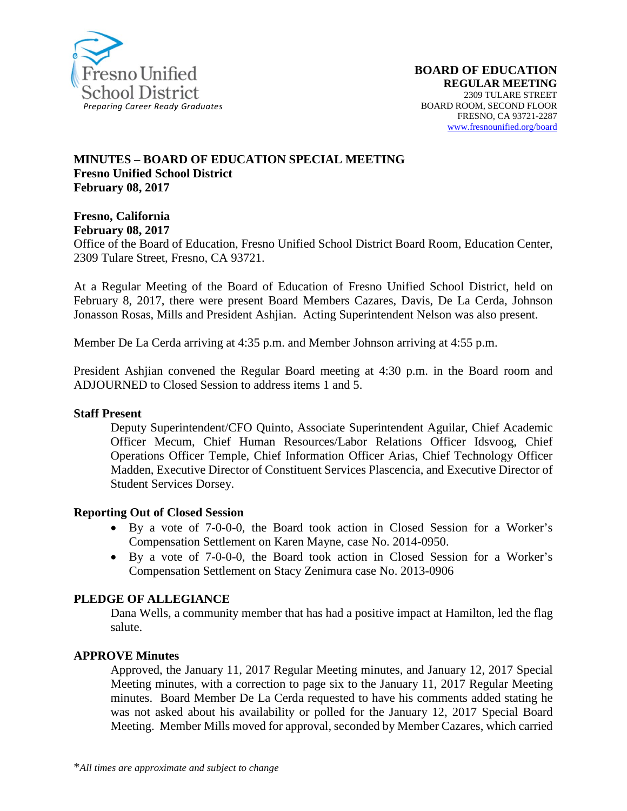

#### **MINUTES – BOARD OF EDUCATION SPECIAL MEETING Fresno Unified School District February 08, 2017**

**Fresno, California** 

**February 08, 2017** 

Office of the Board of Education, Fresno Unified School District Board Room, Education Center, 2309 Tulare Street, Fresno, CA 93721.

At a Regular Meeting of the Board of Education of Fresno Unified School District, held on February 8, 2017, there were present Board Members Cazares, Davis, De La Cerda, Johnson Jonasson Rosas, Mills and President Ashjian. Acting Superintendent Nelson was also present.

Member De La Cerda arriving at 4:35 p.m. and Member Johnson arriving at 4:55 p.m.

President Ashjian convened the Regular Board meeting at 4:30 p.m. in the Board room and ADJOURNED to Closed Session to address items 1 and 5.

#### **Staff Present**

Deputy Superintendent/CFO Quinto, Associate Superintendent Aguilar, Chief Academic Officer Mecum, Chief Human Resources/Labor Relations Officer Idsvoog, Chief Operations Officer Temple, Chief Information Officer Arias, Chief Technology Officer Madden, Executive Director of Constituent Services Plascencia, and Executive Director of Student Services Dorsey.

#### **Reporting Out of Closed Session**

- By a vote of 7-0-0-0, the Board took action in Closed Session for a Worker's Compensation Settlement on Karen Mayne, case No. 2014-0950.
- By a vote of 7-0-0-0, the Board took action in Closed Session for a Worker's Compensation Settlement on Stacy Zenimura case No. 2013-0906

#### **PLEDGE OF ALLEGIANCE**

Dana Wells, a community member that has had a positive impact at Hamilton, led the flag salute.

#### **APPROVE Minutes**

Approved, the January 11, 2017 Regular Meeting minutes, and January 12, 2017 Special Meeting minutes, with a correction to page six to the January 11, 2017 Regular Meeting minutes. Board Member De La Cerda requested to have his comments added stating he was not asked about his availability or polled for the January 12, 2017 Special Board Meeting. Member Mills moved for approval, seconded by Member Cazares, which carried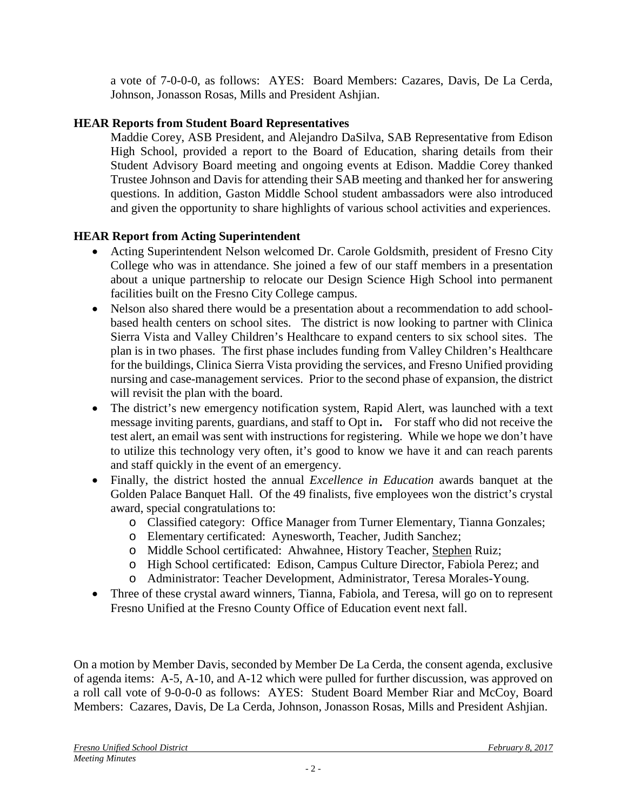a vote of 7-0-0-0, as follows: AYES: Board Members: Cazares, Davis, De La Cerda, Johnson, Jonasson Rosas, Mills and President Ashjian.

# **HEAR Reports from Student Board Representatives**

Maddie Corey, ASB President, and Alejandro DaSilva, SAB Representative from Edison High School, provided a report to the Board of Education, sharing details from their Student Advisory Board meeting and ongoing events at Edison. Maddie Corey thanked Trustee Johnson and Davis for attending their SAB meeting and thanked her for answering questions. In addition, Gaston Middle School student ambassadors were also introduced and given the opportunity to share highlights of various school activities and experiences.

# **HEAR Report from Acting Superintendent**

- Acting Superintendent Nelson welcomed Dr. Carole Goldsmith, president of Fresno City College who was in attendance. She joined a few of our staff members in a presentation about a unique partnership to relocate our Design Science High School into permanent facilities built on the Fresno City College campus.
- Nelson also shared there would be a presentation about a recommendation to add schoolbased health centers on school sites. The district is now looking to partner with Clinica Sierra Vista and Valley Children's Healthcare to expand centers to six school sites. The plan is in two phases. The first phase includes funding from Valley Children's Healthcare for the buildings, Clinica Sierra Vista providing the services, and Fresno Unified providing nursing and case-management services. Prior to the second phase of expansion, the district will revisit the plan with the board.
- The district's new emergency notification system, Rapid Alert, was launched with a text message inviting parents, guardians, and staff to Opt in**.** For staff who did not receive the test alert, an email was sent with instructions for registering. While we hope we don't have to utilize this technology very often, it's good to know we have it and can reach parents and staff quickly in the event of an emergency.
- Finally, the district hosted the annual *Excellence in Education* awards banquet at the Golden Palace Banquet Hall. Of the 49 finalists, five employees won the district's crystal award, special congratulations to:
	- o Classified category: Office Manager from Turner Elementary, Tianna Gonzales;
	- o Elementary certificated: Aynesworth, Teacher, Judith Sanchez;
	- o Middle School certificated: Ahwahnee, History Teacher, Stephen Ruiz;
	- o High School certificated: Edison, Campus Culture Director, Fabiola Perez; and
	- o Administrator: Teacher Development, Administrator, Teresa Morales-Young.
- Three of these crystal award winners, Tianna, Fabiola, and Teresa, will go on to represent Fresno Unified at the Fresno County Office of Education event next fall.

On a motion by Member Davis, seconded by Member De La Cerda, the consent agenda, exclusive of agenda items: A-5, A-10, and A-12 which were pulled for further discussion, was approved on a roll call vote of 9-0-0-0 as follows: AYES: Student Board Member Riar and McCoy, Board Members: Cazares, Davis, De La Cerda, Johnson, Jonasson Rosas, Mills and President Ashjian.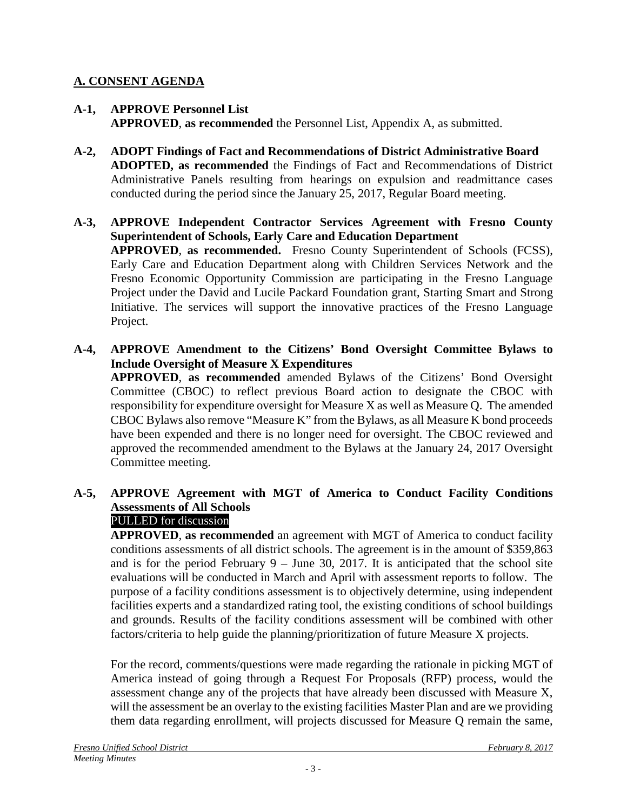# **A. CONSENT AGENDA**

- **A-1, APPROVE Personnel List APPROVED**, **as recommended** the Personnel List, Appendix A, as submitted.
- **A-2, ADOPT Findings of Fact and Recommendations of District Administrative Board ADOPTED, as recommended** the Findings of Fact and Recommendations of District Administrative Panels resulting from hearings on expulsion and readmittance cases conducted during the period since the January 25, 2017, Regular Board meeting.
- **A-3, APPROVE Independent Contractor Services Agreement with Fresno County Superintendent of Schools, Early Care and Education Department APPROVED**, **as recommended.** Fresno County Superintendent of Schools (FCSS), Early Care and Education Department along with Children Services Network and the Fresno Economic Opportunity Commission are participating in the Fresno Language Project under the David and Lucile Packard Foundation grant, Starting Smart and Strong Initiative. The services will support the innovative practices of the Fresno Language Project.
- **A-4, APPROVE Amendment to the Citizens' Bond Oversight Committee Bylaws to Include Oversight of Measure X Expenditures**

**APPROVED**, **as recommended** amended Bylaws of the Citizens' Bond Oversight Committee (CBOC) to reflect previous Board action to designate the CBOC with responsibility for expenditure oversight for Measure X as well as Measure Q. The amended CBOC Bylaws also remove "Measure K" from the Bylaws, as all Measure K bond proceeds have been expended and there is no longer need for oversight. The CBOC reviewed and approved the recommended amendment to the Bylaws at the January 24, 2017 Oversight Committee meeting.

# **A-5, APPROVE Agreement with MGT of America to Conduct Facility Conditions Assessments of All Schools**

## PULLED for discussion

**APPROVED**, **as recommended** an agreement with MGT of America to conduct facility conditions assessments of all district schools. The agreement is in the amount of \$359,863 and is for the period February  $9 -$  June 30, 2017. It is anticipated that the school site evaluations will be conducted in March and April with assessment reports to follow. The purpose of a facility conditions assessment is to objectively determine, using independent facilities experts and a standardized rating tool, the existing conditions of school buildings and grounds. Results of the facility conditions assessment will be combined with other factors/criteria to help guide the planning/prioritization of future Measure X projects.

For the record, comments/questions were made regarding the rationale in picking MGT of America instead of going through a Request For Proposals (RFP) process, would the assessment change any of the projects that have already been discussed with Measure X, will the assessment be an overlay to the existing facilities Master Plan and are we providing them data regarding enrollment, will projects discussed for Measure Q remain the same,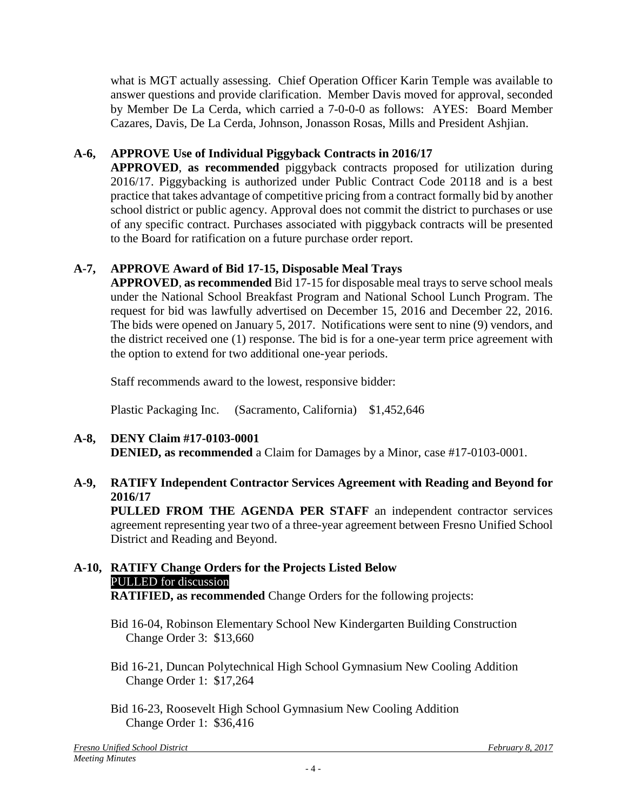what is MGT actually assessing. Chief Operation Officer Karin Temple was available to answer questions and provide clarification. Member Davis moved for approval, seconded by Member De La Cerda, which carried a 7-0-0-0 as follows: AYES: Board Member Cazares, Davis, De La Cerda, Johnson, Jonasson Rosas, Mills and President Ashjian.

# **A-6, APPROVE Use of Individual Piggyback Contracts in 2016/17**

**APPROVED**, **as recommended** piggyback contracts proposed for utilization during 2016/17. Piggybacking is authorized under Public Contract Code 20118 and is a best practice that takes advantage of competitive pricing from a contract formally bid by another school district or public agency. Approval does not commit the district to purchases or use of any specific contract. Purchases associated with piggyback contracts will be presented to the Board for ratification on a future purchase order report.

# **A-7, APPROVE Award of Bid 17-15, Disposable Meal Trays**

**APPROVED**, **as recommended** Bid 17-15 for disposable meal trays to serve school meals under the National School Breakfast Program and National School Lunch Program. The request for bid was lawfully advertised on December 15, 2016 and December 22, 2016. The bids were opened on January 5, 2017. Notifications were sent to nine (9) vendors, and the district received one (1) response. The bid is for a one-year term price agreement with the option to extend for two additional one-year periods.

Staff recommends award to the lowest, responsive bidder:

Plastic Packaging Inc. (Sacramento, California) \$1,452,646

#### **A-8, DENY Claim #17-0103-0001 DENIED, as recommended** a Claim for Damages by a Minor, case #17-0103-0001.

# **A-9, RATIFY Independent Contractor Services Agreement with Reading and Beyond for 2016/17**

**PULLED FROM THE AGENDA PER STAFF** an independent contractor services agreement representing year two of a three-year agreement between Fresno Unified School District and Reading and Beyond.

# **A-10, RATIFY Change Orders for the Projects Listed Below** PULLED for discussion

**RATIFIED, as recommended** Change Orders for the following projects:

- Bid 16-04, Robinson Elementary School New Kindergarten Building Construction Change Order 3: \$13,660
- Bid 16-21, Duncan Polytechnical High School Gymnasium New Cooling Addition Change Order 1: \$17,264
- Bid 16-23, Roosevelt High School Gymnasium New Cooling Addition Change Order 1: \$36,416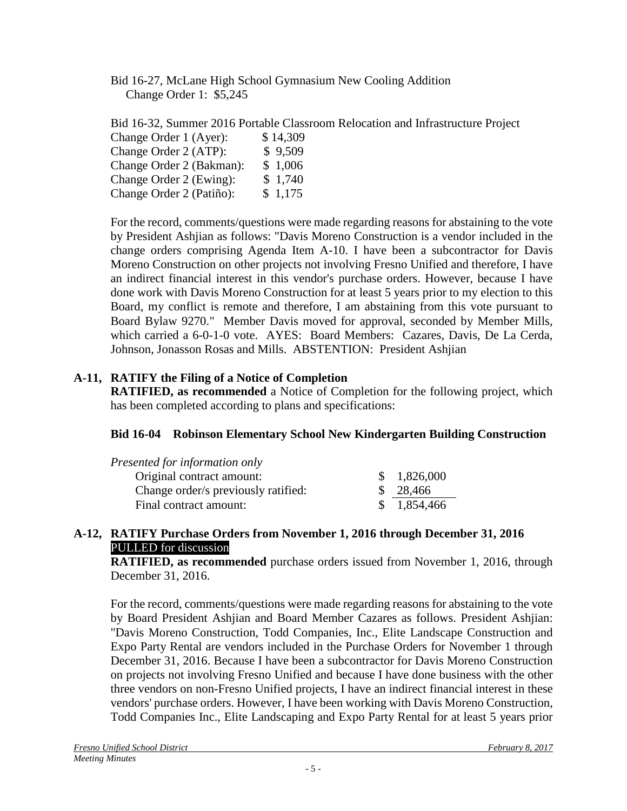Bid 16-27, McLane High School Gymnasium New Cooling Addition Change Order 1: \$5,245

Bid 16-32, Summer 2016 Portable Classroom Relocation and Infrastructure Project

| Change Order 1 (Ayer):   | \$14,309 |
|--------------------------|----------|
| Change Order 2 (ATP):    | \$9,509  |
| Change Order 2 (Bakman): | \$1,006  |
| Change Order 2 (Ewing):  | \$1,740  |
| Change Order 2 (Patiño): | \$1,175  |

For the record, comments/questions were made regarding reasons for abstaining to the vote by President Ashjian as follows: "Davis Moreno Construction is a vendor included in the change orders comprising Agenda Item A-10. I have been a subcontractor for Davis Moreno Construction on other projects not involving Fresno Unified and therefore, I have an indirect financial interest in this vendor's purchase orders. However, because I have done work with Davis Moreno Construction for at least 5 years prior to my election to this Board, my conflict is remote and therefore, I am abstaining from this vote pursuant to Board Bylaw 9270." Member Davis moved for approval, seconded by Member Mills, which carried a 6-0-1-0 vote. AYES: Board Members: Cazares, Davis, De La Cerda, Johnson, Jonasson Rosas and Mills. ABSTENTION: President Ashjian

# **A-11, RATIFY the Filing of a Notice of Completion**

**RATIFIED, as recommended** a Notice of Completion for the following project, which has been completed according to plans and specifications:

## **Bid 16-04 Robinson Elementary School New Kindergarten Building Construction**

| Presented for information only      |             |
|-------------------------------------|-------------|
| Original contract amount:           | \$1,826,000 |
| Change order/s previously ratified: | \$28,466    |
| Final contract amount:              | \$1,854,466 |

## **A-12, RATIFY Purchase Orders from November 1, 2016 through December 31, 2016** PULLED for discussion

**RATIFIED, as recommended** purchase orders issued from November 1, 2016, through December 31, 2016.

For the record, comments/questions were made regarding reasons for abstaining to the vote by Board President Ashjian and Board Member Cazares as follows. President Ashjian: "Davis Moreno Construction, Todd Companies, Inc., Elite Landscape Construction and Expo Party Rental are vendors included in the Purchase Orders for November 1 through December 31, 2016. Because I have been a subcontractor for Davis Moreno Construction on projects not involving Fresno Unified and because I have done business with the other three vendors on non-Fresno Unified projects, I have an indirect financial interest in these vendors' purchase orders. However, I have been working with Davis Moreno Construction, Todd Companies Inc., Elite Landscaping and Expo Party Rental for at least 5 years prior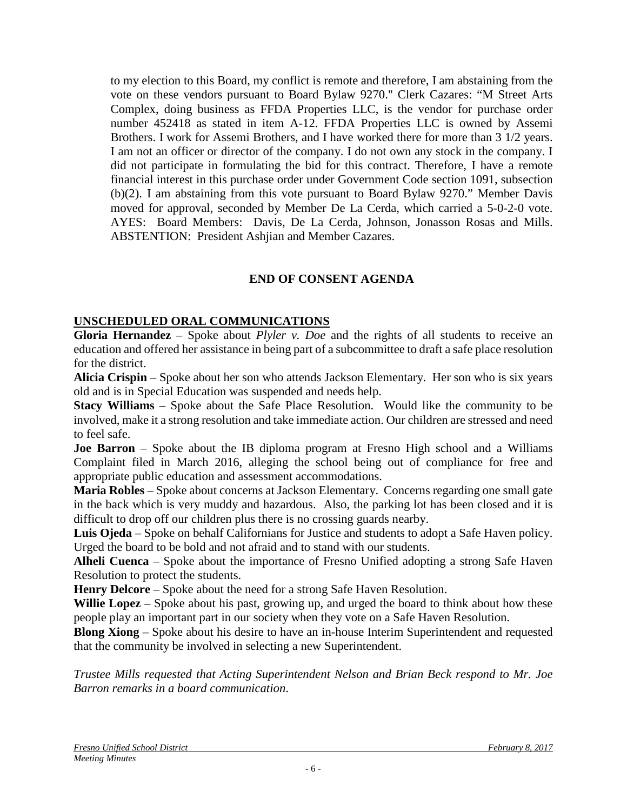to my election to this Board, my conflict is remote and therefore, I am abstaining from the vote on these vendors pursuant to Board Bylaw 9270." Clerk Cazares: "M Street Arts Complex, doing business as FFDA Properties LLC, is the vendor for purchase order number 452418 as stated in item A-12. FFDA Properties LLC is owned by Assemi Brothers. I work for Assemi Brothers, and I have worked there for more than 3 1/2 years. I am not an officer or director of the company. I do not own any stock in the company. I did not participate in formulating the bid for this contract. Therefore, I have a remote financial interest in this purchase order under Government Code section 1091, subsection (b)(2). I am abstaining from this vote pursuant to Board Bylaw 9270." Member Davis moved for approval, seconded by Member De La Cerda, which carried a 5-0-2-0 vote. AYES: Board Members: Davis, De La Cerda, Johnson, Jonasson Rosas and Mills. ABSTENTION: President Ashjian and Member Cazares.

# **END OF CONSENT AGENDA**

## **UNSCHEDULED ORAL COMMUNICATIONS**

**Gloria Hernandez** – Spoke about *Plyler v. Doe* and the rights of all students to receive an education and offered her assistance in being part of a subcommittee to draft a safe place resolution for the district.

**Alicia Crispin** – Spoke about her son who attends Jackson Elementary. Her son who is six years old and is in Special Education was suspended and needs help.

**Stacy Williams** – Spoke about the Safe Place Resolution. Would like the community to be involved, make it a strong resolution and take immediate action. Our children are stressed and need to feel safe.

**Joe Barron** – Spoke about the IB diploma program at Fresno High school and a Williams Complaint filed in March 2016, alleging the school being out of compliance for free and appropriate public education and assessment accommodations.

**Maria Robles** – Spoke about concerns at Jackson Elementary. Concerns regarding one small gate in the back which is very muddy and hazardous. Also, the parking lot has been closed and it is difficult to drop off our children plus there is no crossing guards nearby.

**Luis Ojeda** – Spoke on behalf Californians for Justice and students to adopt a Safe Haven policy. Urged the board to be bold and not afraid and to stand with our students.

**Alheli Cuenca** – Spoke about the importance of Fresno Unified adopting a strong Safe Haven Resolution to protect the students.

**Henry Delcore** – Spoke about the need for a strong Safe Haven Resolution.

**Willie Lopez** – Spoke about his past, growing up, and urged the board to think about how these people play an important part in our society when they vote on a Safe Haven Resolution.

**Blong Xiong** – Spoke about his desire to have an in-house Interim Superintendent and requested that the community be involved in selecting a new Superintendent.

*Trustee Mills requested that Acting Superintendent Nelson and Brian Beck respond to Mr. Joe Barron remarks in a board communication*.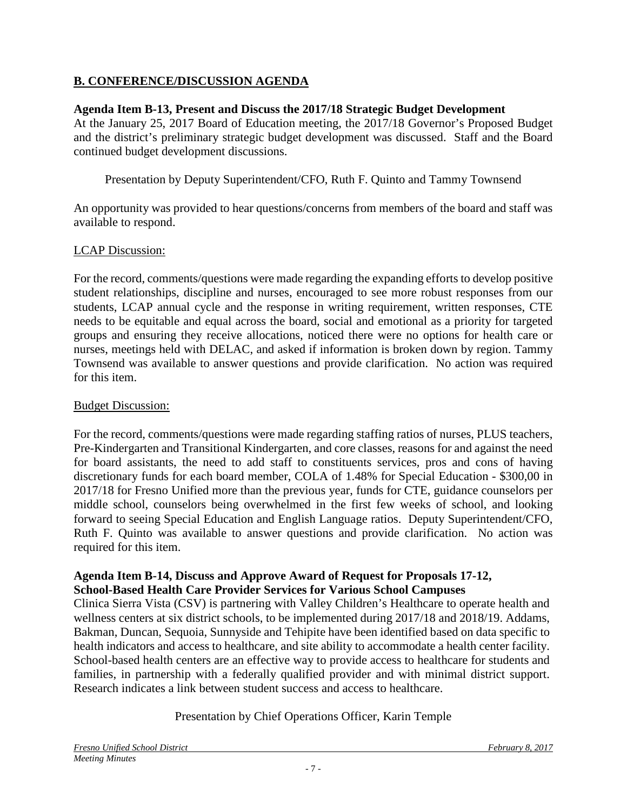# **B. CONFERENCE/DISCUSSION AGENDA**

## **Agenda Item B-13, Present and Discuss the 2017/18 Strategic Budget Development**

At the January 25, 2017 Board of Education meeting, the 2017/18 Governor's Proposed Budget and the district's preliminary strategic budget development was discussed. Staff and the Board continued budget development discussions.

Presentation by Deputy Superintendent/CFO, Ruth F. Quinto and Tammy Townsend

An opportunity was provided to hear questions/concerns from members of the board and staff was available to respond.

## LCAP Discussion:

For the record, comments/questions were made regarding the expanding efforts to develop positive student relationships, discipline and nurses, encouraged to see more robust responses from our students, LCAP annual cycle and the response in writing requirement, written responses, CTE needs to be equitable and equal across the board, social and emotional as a priority for targeted groups and ensuring they receive allocations, noticed there were no options for health care or nurses, meetings held with DELAC, and asked if information is broken down by region. Tammy Townsend was available to answer questions and provide clarification. No action was required for this item.

#### Budget Discussion:

For the record, comments/questions were made regarding staffing ratios of nurses, PLUS teachers, Pre-Kindergarten and Transitional Kindergarten, and core classes, reasons for and against the need for board assistants, the need to add staff to constituents services, pros and cons of having discretionary funds for each board member, COLA of 1.48% for Special Education - \$300,00 in 2017/18 for Fresno Unified more than the previous year, funds for CTE, guidance counselors per middle school, counselors being overwhelmed in the first few weeks of school, and looking forward to seeing Special Education and English Language ratios. Deputy Superintendent/CFO, Ruth F. Quinto was available to answer questions and provide clarification. No action was required for this item.

#### **Agenda Item B-14, Discuss and Approve Award of Request for Proposals 17-12, School-Based Health Care Provider Services for Various School Campuses**

Clinica Sierra Vista (CSV) is partnering with Valley Children's Healthcare to operate health and wellness centers at six district schools, to be implemented during 2017/18 and 2018/19. Addams, Bakman, Duncan, Sequoia, Sunnyside and Tehipite have been identified based on data specific to health indicators and access to healthcare, and site ability to accommodate a health center facility. School-based health centers are an effective way to provide access to healthcare for students and families, in partnership with a federally qualified provider and with minimal district support. Research indicates a link between student success and access to healthcare.

## Presentation by Chief Operations Officer, Karin Temple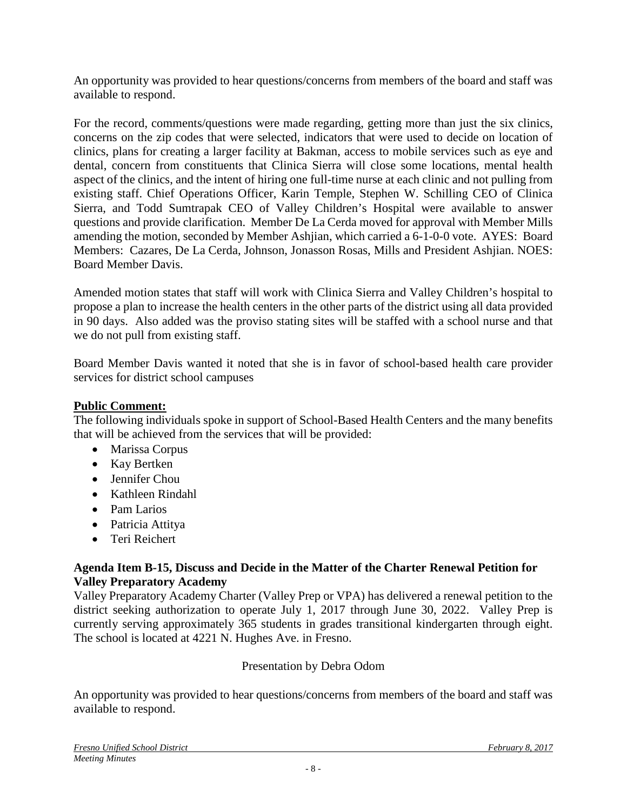An opportunity was provided to hear questions/concerns from members of the board and staff was available to respond.

For the record, comments/questions were made regarding, getting more than just the six clinics, concerns on the zip codes that were selected, indicators that were used to decide on location of clinics, plans for creating a larger facility at Bakman, access to mobile services such as eye and dental, concern from constituents that Clinica Sierra will close some locations, mental health aspect of the clinics, and the intent of hiring one full-time nurse at each clinic and not pulling from existing staff. Chief Operations Officer, Karin Temple, Stephen W. Schilling CEO of Clinica Sierra, and Todd Sumtrapak CEO of Valley Children's Hospital were available to answer questions and provide clarification. Member De La Cerda moved for approval with Member Mills amending the motion, seconded by Member Ashjian, which carried a 6-1-0-0 vote. AYES: Board Members: Cazares, De La Cerda, Johnson, Jonasson Rosas, Mills and President Ashjian. NOES: Board Member Davis.

Amended motion states that staff will work with Clinica Sierra and Valley Children's hospital to propose a plan to increase the health centers in the other parts of the district using all data provided in 90 days. Also added was the proviso stating sites will be staffed with a school nurse and that we do not pull from existing staff.

Board Member Davis wanted it noted that she is in favor of school-based health care provider services for district school campuses

## **Public Comment:**

The following individuals spoke in support of School-Based Health Centers and the many benefits that will be achieved from the services that will be provided:

- Marissa Corpus
- Kay Bertken
- Jennifer Chou
- Kathleen Rindahl
- Pam Larios
- Patricia Attitya
- Teri Reichert

## **Agenda Item B-15, Discuss and Decide in the Matter of the Charter Renewal Petition for Valley Preparatory Academy**

Valley Preparatory Academy Charter (Valley Prep or VPA) has delivered a renewal petition to the district seeking authorization to operate July 1, 2017 through June 30, 2022. Valley Prep is currently serving approximately 365 students in grades transitional kindergarten through eight. The school is located at 4221 N. Hughes Ave. in Fresno.

## Presentation by Debra Odom

An opportunity was provided to hear questions/concerns from members of the board and staff was available to respond.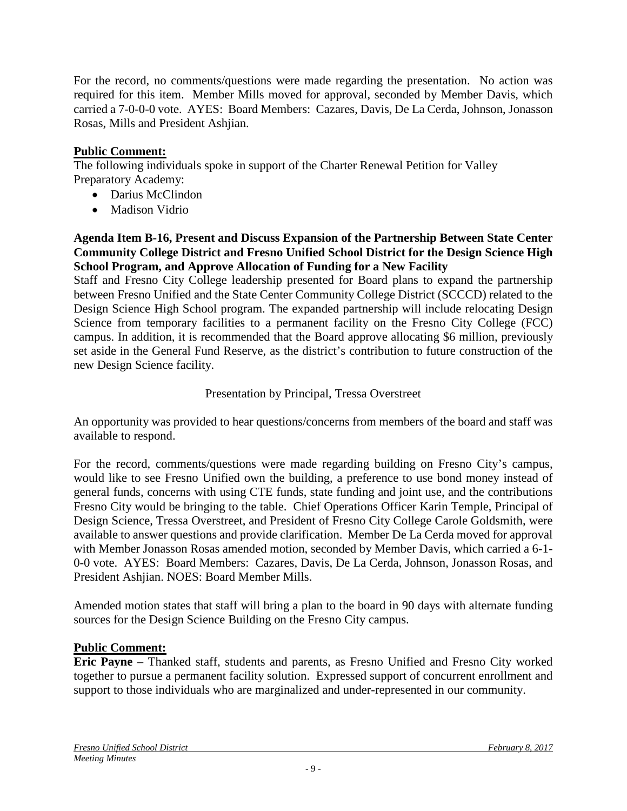For the record, no comments/questions were made regarding the presentation. No action was required for this item. Member Mills moved for approval, seconded by Member Davis, which carried a 7-0-0-0 vote. AYES: Board Members: Cazares, Davis, De La Cerda, Johnson, Jonasson Rosas, Mills and President Ashjian.

## **Public Comment:**

The following individuals spoke in support of the Charter Renewal Petition for Valley Preparatory Academy:

- Darius McClindon
- Madison Vidrio

#### **Agenda Item B-16, Present and Discuss Expansion of the Partnership Between State Center Community College District and Fresno Unified School District for the Design Science High School Program, and Approve Allocation of Funding for a New Facility**

Staff and Fresno City College leadership presented for Board plans to expand the partnership between Fresno Unified and the State Center Community College District (SCCCD) related to the Design Science High School program. The expanded partnership will include relocating Design Science from temporary facilities to a permanent facility on the Fresno City College (FCC) campus. In addition, it is recommended that the Board approve allocating \$6 million, previously set aside in the General Fund Reserve, as the district's contribution to future construction of the new Design Science facility.

## Presentation by Principal, Tressa Overstreet

An opportunity was provided to hear questions/concerns from members of the board and staff was available to respond.

For the record, comments/questions were made regarding building on Fresno City's campus, would like to see Fresno Unified own the building, a preference to use bond money instead of general funds, concerns with using CTE funds, state funding and joint use, and the contributions Fresno City would be bringing to the table. Chief Operations Officer Karin Temple, Principal of Design Science, Tressa Overstreet, and President of Fresno City College Carole Goldsmith, were available to answer questions and provide clarification. Member De La Cerda moved for approval with Member Jonasson Rosas amended motion, seconded by Member Davis, which carried a 6-1- 0-0 vote. AYES: Board Members: Cazares, Davis, De La Cerda, Johnson, Jonasson Rosas, and President Ashjian. NOES: Board Member Mills.

Amended motion states that staff will bring a plan to the board in 90 days with alternate funding sources for the Design Science Building on the Fresno City campus.

## **Public Comment:**

**Eric Payne** – Thanked staff, students and parents, as Fresno Unified and Fresno City worked together to pursue a permanent facility solution. Expressed support of concurrent enrollment and support to those individuals who are marginalized and under-represented in our community.